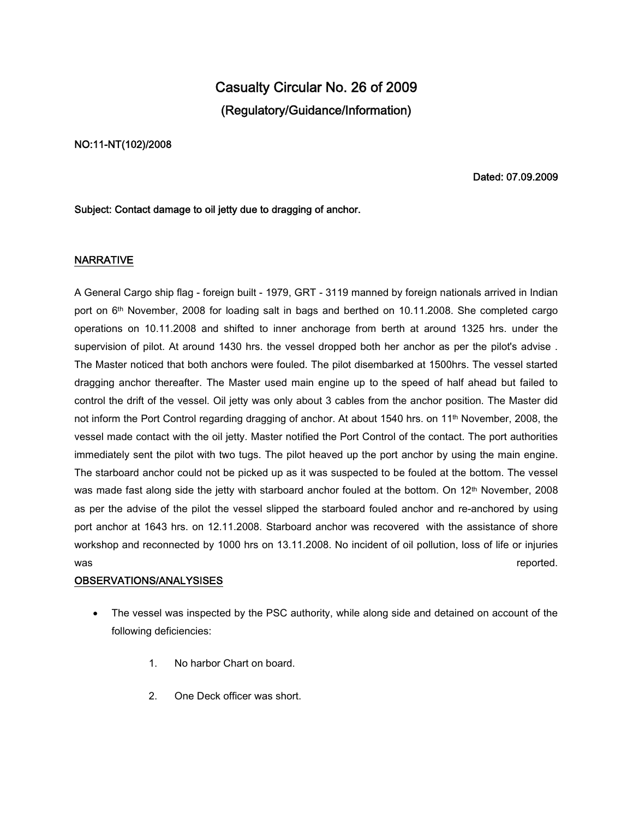# **Casualty Circular No. 26 of 2009 (Regulatory/Guidance/Information)**

### **NO:11-NT(102)/2008**

**Dated: 07.09.2009**

### **Subject: Contact damage to oil jetty due to dragging of anchor.**

### **NARRATIVE**

A General Cargo ship flag - foreign built - 1979, GRT - 3119 manned by foreign nationals arrived in Indian port on 6th November, 2008 for loading salt in bags and berthed on 10.11.2008. She completed cargo operations on 10.11.2008 and shifted to inner anchorage from berth at around 1325 hrs. under the supervision of pilot. At around 1430 hrs. the vessel dropped both her anchor as per the pilot's advise . The Master noticed that both anchors were fouled. The pilot disembarked at 1500hrs. The vessel started dragging anchor thereafter. The Master used main engine up to the speed of half ahead but failed to control the drift of the vessel. Oil jetty was only about 3 cables from the anchor position. The Master did not inform the Port Control regarding dragging of anchor. At about 1540 hrs. on 11<sup>th</sup> November, 2008, the vessel made contact with the oil jetty. Master notified the Port Control of the contact. The port authorities immediately sent the pilot with two tugs. The pilot heaved up the port anchor by using the main engine. The starboard anchor could not be picked up as it was suspected to be fouled at the bottom. The vessel was made fast along side the jetty with starboard anchor fouled at the bottom. On 12<sup>th</sup> November, 2008 as per the advise of the pilot the vessel slipped the starboard fouled anchor and re-anchored by using port anchor at 1643 hrs. on 12.11.2008. Starboard anchor was recovered with the assistance of shore workshop and reconnected by 1000 hrs on 13.11.2008. No incident of oil pollution, loss of life or injuries was  $r_{\rm c}$  reported. The contract of the contract of the contract of the contract of the contract of the contract of the contract of the contract of the contract of the contract of the contract of the contract of the co

#### **OBSERVATIONS/ANALYSISES**

- The vessel was inspected by the PSC authority, while along side and detained on account of the following deficiencies:
	- 1. No harbor Chart on board.
	- 2. One Deck officer was short.